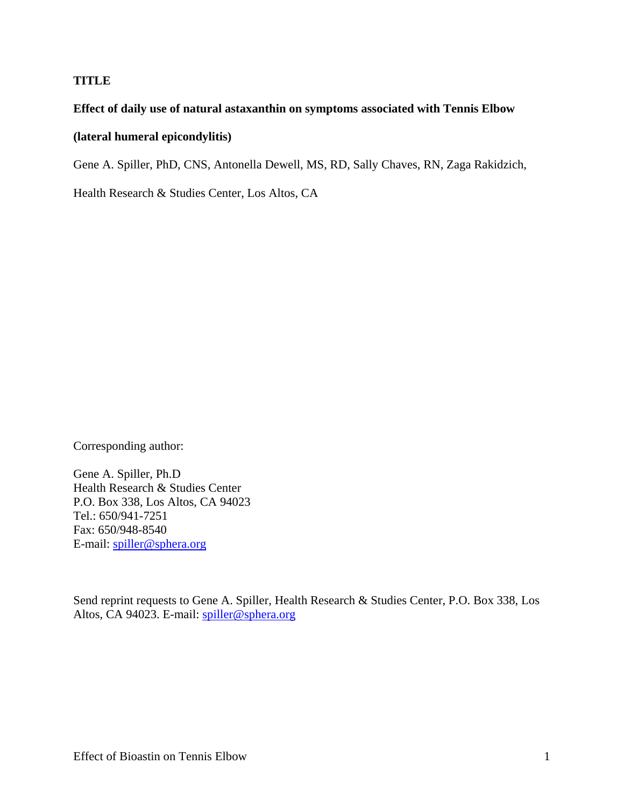## **TITLE**

## **Effect of daily use of natural astaxanthin on symptoms associated with Tennis Elbow**

## **(lateral humeral epicondylitis)**

Gene A. Spiller, PhD, CNS, Antonella Dewell, MS, RD, Sally Chaves, RN, Zaga Rakidzich,

Health Research & Studies Center, Los Altos, CA

Corresponding author:

Gene A. Spiller, Ph.D Health Research & Studies Center P.O. Box 338, Los Altos, CA 94023 Tel.: 650/941-7251 Fax: 650/948-8540 E-mail: spiller@sphera.org

Send reprint requests to Gene A. Spiller, Health Research & Studies Center, P.O. Box 338, Los Altos, CA 94023. E-mail: spiller@sphera.org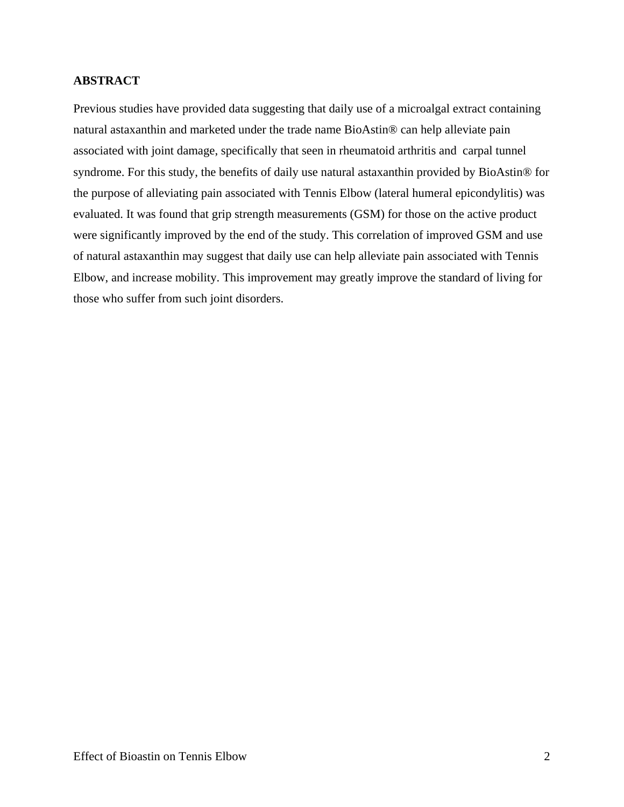## **ABSTRACT**

Previous studies have provided data suggesting that daily use of a microalgal extract containing natural astaxanthin and marketed under the trade name BioAstin® can help alleviate pain associated with joint damage, specifically that seen in rheumatoid arthritis and carpal tunnel syndrome. For this study, the benefits of daily use natural astaxanthin provided by BioAstin® for the purpose of alleviating pain associated with Tennis Elbow (lateral humeral epicondylitis) was evaluated. It was found that grip strength measurements (GSM) for those on the active product were significantly improved by the end of the study. This correlation of improved GSM and use of natural astaxanthin may suggest that daily use can help alleviate pain associated with Tennis Elbow, and increase mobility. This improvement may greatly improve the standard of living for those who suffer from such joint disorders.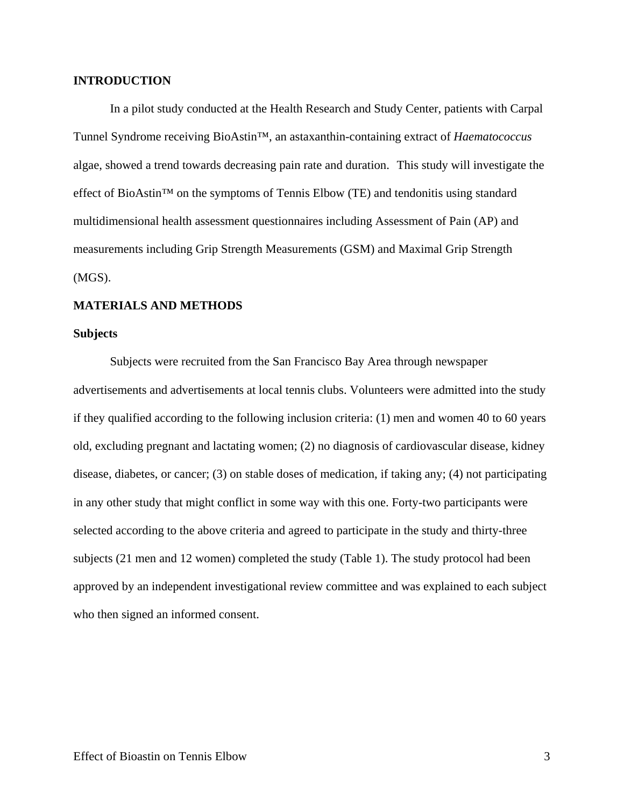### **INTRODUCTION**

In a pilot study conducted at the Health Research and Study Center, patients with Carpal Tunnel Syndrome receiving BioAstin™, an astaxanthin-containing extract of *Haematococcus* algae, showed a trend towards decreasing pain rate and duration. This study will investigate the effect of BioAstin™ on the symptoms of Tennis Elbow (TE) and tendonitis using standard multidimensional health assessment questionnaires including Assessment of Pain (AP) and measurements including Grip Strength Measurements (GSM) and Maximal Grip Strength (MGS).

### **MATERIALS AND METHODS**

#### **Subjects**

Subjects were recruited from the San Francisco Bay Area through newspaper advertisements and advertisements at local tennis clubs. Volunteers were admitted into the study if they qualified according to the following inclusion criteria: (1) men and women 40 to 60 years old, excluding pregnant and lactating women; (2) no diagnosis of cardiovascular disease, kidney disease, diabetes, or cancer; (3) on stable doses of medication, if taking any; (4) not participating in any other study that might conflict in some way with this one. Forty-two participants were selected according to the above criteria and agreed to participate in the study and thirty-three subjects (21 men and 12 women) completed the study (Table 1). The study protocol had been approved by an independent investigational review committee and was explained to each subject who then signed an informed consent.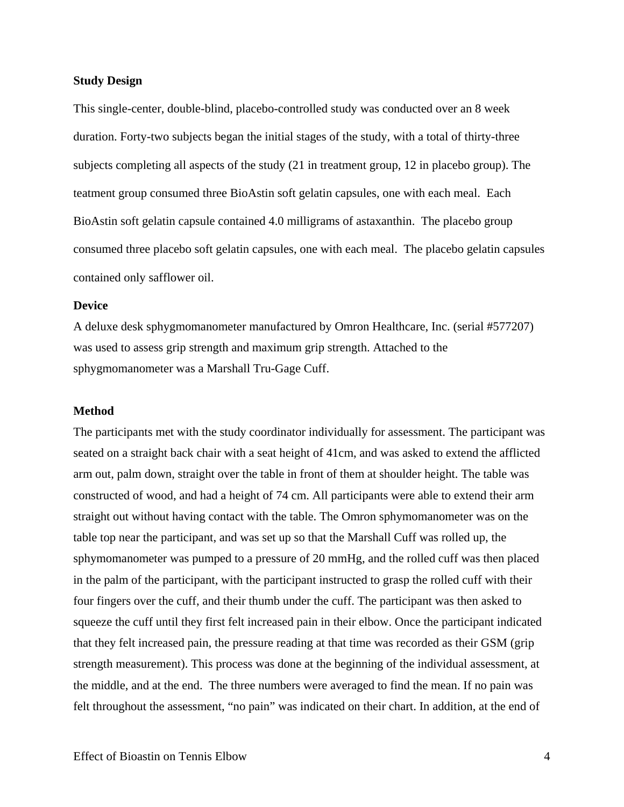### **Study Design**

This single-center, double-blind, placebo-controlled study was conducted over an 8 week duration. Forty-two subjects began the initial stages of the study, with a total of thirty-three subjects completing all aspects of the study (21 in treatment group, 12 in placebo group). The teatment group consumed three BioAstin soft gelatin capsules, one with each meal. Each BioAstin soft gelatin capsule contained 4.0 milligrams of astaxanthin. The placebo group consumed three placebo soft gelatin capsules, one with each meal. The placebo gelatin capsules contained only safflower oil.

#### **Device**

A deluxe desk sphygmomanometer manufactured by Omron Healthcare, Inc. (serial #577207) was used to assess grip strength and maximum grip strength. Attached to the sphygmomanometer was a Marshall Tru-Gage Cuff.

#### **Method**

The participants met with the study coordinator individually for assessment. The participant was seated on a straight back chair with a seat height of 41cm, and was asked to extend the afflicted arm out, palm down, straight over the table in front of them at shoulder height. The table was constructed of wood, and had a height of 74 cm. All participants were able to extend their arm straight out without having contact with the table. The Omron sphymomanometer was on the table top near the participant, and was set up so that the Marshall Cuff was rolled up, the sphymomanometer was pumped to a pressure of 20 mmHg, and the rolled cuff was then placed in the palm of the participant, with the participant instructed to grasp the rolled cuff with their four fingers over the cuff, and their thumb under the cuff. The participant was then asked to squeeze the cuff until they first felt increased pain in their elbow. Once the participant indicated that they felt increased pain, the pressure reading at that time was recorded as their GSM (grip strength measurement). This process was done at the beginning of the individual assessment, at the middle, and at the end. The three numbers were averaged to find the mean. If no pain was felt throughout the assessment, "no pain" was indicated on their chart. In addition, at the end of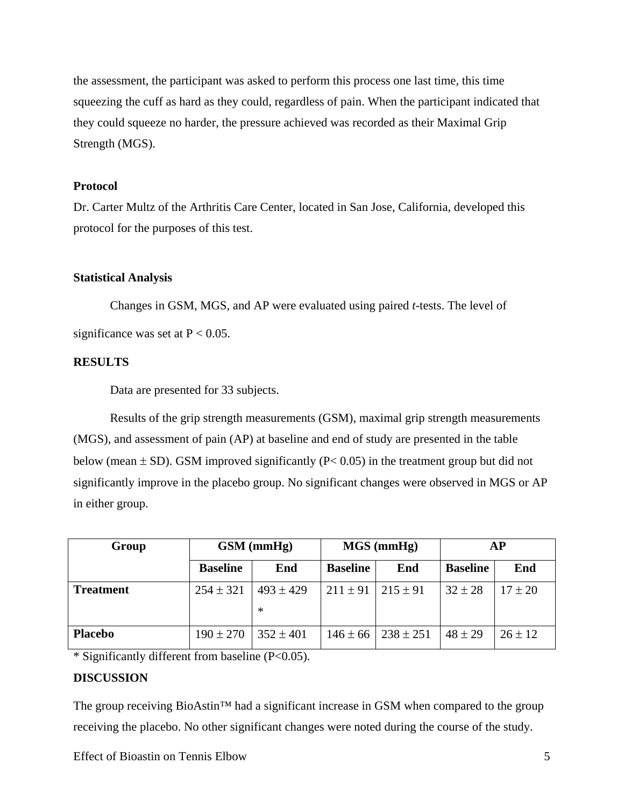the assessment, the participant was asked to perform this process one last time, this time squeezing the cuff as hard as they could, regardless of pain. When the participant indicated that they could squeeze no harder, the pressure achieved was recorded as their Maximal Grip Strength (MGS).

## **Protocol**

Dr. Carter Multz of the Arthritis Care Center, located in San Jose, California, developed this protocol for the purposes of this test.

## **Statistical Analysis**

Changes in GSM, MGS, and AP were evaluated using paired *t*-tests. The level of significance was set at  $P < 0.05$ .

# **RESULTS**

Data are presented for 33 subjects.

Results of the grip strength measurements (GSM), maximal grip strength measurements (MGS), and assessment of pain (AP) at baseline and end of study are presented in the table below (mean  $\pm$  SD). GSM improved significantly (P< 0.05) in the treatment group but did not significantly improve in the placebo group. No significant changes were observed in MGS or AP in either group.

| Group            | $GSM$ (mmHg)    |                         | $MGS$ (mmHg)    |               | <b>AP</b>       |             |
|------------------|-----------------|-------------------------|-----------------|---------------|-----------------|-------------|
|                  | <b>Baseline</b> | End                     | <b>Baseline</b> | End           | <b>Baseline</b> | End         |
| <b>Treatment</b> | $254 \pm 321$   | $493 \pm 429$<br>$\ast$ | $211 \pm 91$    | $215 \pm 91$  | $32 \pm 28$     | $17 \pm 20$ |
| <b>Placebo</b>   | $190 \pm 270$   | $352 \pm 401$           | $146 \pm 66$    | $238 \pm 251$ | $48 \pm 29$     | $26 \pm 12$ |

\* Significantly different from baseline (P<0.05).

# **DISCUSSION**

The group receiving BioAstin<sup>™</sup> had a significant increase in GSM when compared to the group receiving the placebo. No other significant changes were noted during the course of the study.

Effect of Bioastin on Tennis Elbow 5